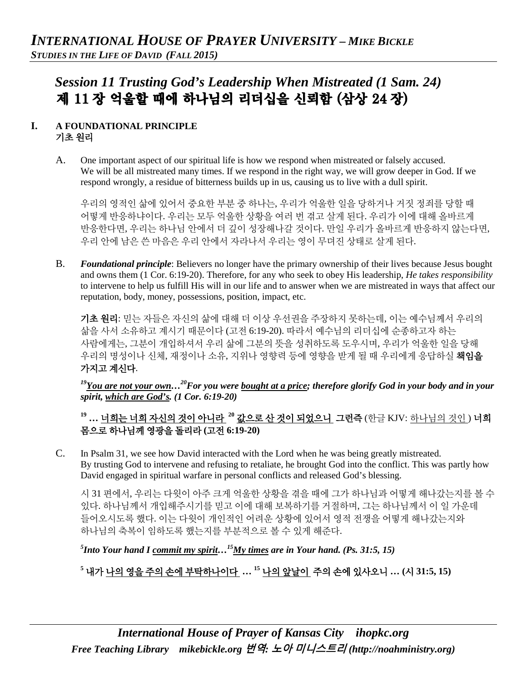# *Session 11 Trusting God's Leadership When Mistreated (1 Sam. 24)*  제 11 장 억울할 때에 하나님의 리더십을 신뢰함 (삼상 24 장)

### **I. A FOUNDATIONAL PRINCIPLE** 기초 원리

A. One important aspect of our spiritual life is how we respond when mistreated or falsely accused. We will be all mistreated many times. If we respond in the right way, we will grow deeper in God. If we respond wrongly, a residue of bitterness builds up in us, causing us to live with a dull spirit.

우리의 영적인 삶에 있어서 중요한 부분 중 하나는, 우리가 억울한 일을 당하거나 거짓 정죄를 당할 때 어떻게 반응하냐이다. 우리는 모두 억울한 상황을 여러 번 겪고 살게 된다. 우리가 이에 대해 올바르게 반응한다면, 우리는 하나님 안에서 더 깊이 성장해나갈 것이다. 만일 우리가 올바르게 반응하지 않는다면, 우리 안에 남은 쓴 마음은 우리 안에서 자라나서 우리는 영이 무뎌진 상태로 살게 된다.

B. *Foundational principle*: Believers no longer have the primary ownership of their lives because Jesus bought and owns them (1 Cor. 6:19-20). Therefore, for any who seek to obey His leadership, *He takes responsibility*  to intervene to help us fulfill His will in our life and to answer when we are mistreated in ways that affect our reputation, body, money, possessions, position, impact, etc.

기초 원리: 믿는 자들은 자신의 삶에 대해 더 이상 우선권을 주장하지 못하는데, 이는 예수님께서 우리의 삶을 사서 소유하고 계시기 때문이다 (고전 6:19-20). 따라서 예수님의 리더십에 순종하고자 하는 사람에게는, 그분이 개입하셔서 우리 삶에 그분의 뜻을 성취하도록 도우시며, 우리가 억울한 일을 당해 우리의 명성이나 신체, 재정이나 소유, 지위나 영향력 등에 영향을 받게 될 때 우리에게 응답하실 **책임을** 가지고 계신다.

*19You are not your own…20For you were bought at a price; therefore glorify God in your body and in your spirit, which are God's. (1 Cor. 6:19-20)* 

## **<sup>19</sup> …** 너희는 너희 자신의 것이 아니라 **<sup>20</sup>** 값으로 산 것이 되었으니 그런즉 (한글 KJV: 하나님의 것인 ) 너희 몸으로 하나님께 영광을 돌리라 **(**고전 **6:19-20)**

C. In Psalm 31, we see how David interacted with the Lord when he was being greatly mistreated. By trusting God to intervene and refusing to retaliate, he brought God into the conflict. This was partly how David engaged in spiritual warfare in personal conflicts and released God's blessing.

시 31 편에서, 우리는 다윗이 아주 크게 억울한 상황을 겪을 때에 그가 하나님과 어떻게 해나갔는지를 볼 수 있다. 하나님께서 개입해주시기를 믿고 이에 대해 보복하기를 거절하며, 그는 하나님께서 이 일 가운데 들어오시도록 했다. 이는 다윗이 개인적인 어려운 상황에 있어서 영적 전쟁을 어떻게 해나갔는지와 하나님의 축복이 임하도록 했는지를 부분적으로 볼 수 있게 해준다.

*5 Into Your hand I commit my spirit…15My times are in Your hand. (Ps. 31:5, 15)* 

**<sup>5</sup>** 내가 나의 영을 주의 손에 부탁하나이다 **… 15** 나의 앞날이 주의 손에 있사오니 **… (**시 **31:5, 15)**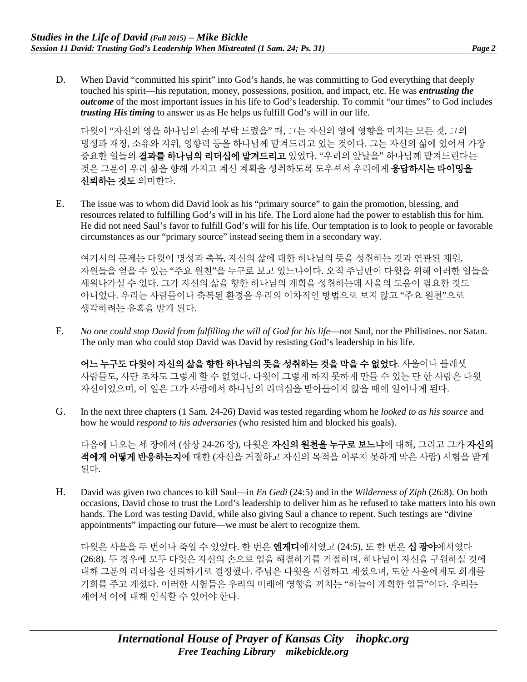D. When David "committed his spirit" into God's hands, he was committing to God everything that deeply touched his spirit—his reputation, money, possessions, position, and impact, etc. He was *entrusting the outcome* of the most important issues in his life to God's leadership. To commit "our times" to God includes *trusting His timing* to answer us as He helps us fulfill God's will in our life.

다윗이 "자신의 영을 하나님의 손에 부탁 드렸을" 때, 그는 자신의 영에 영향을 미치는 모든 것, 그의 명성과 재정, 소유와 지위, 영향력 등을 하나님께 맡겨드리고 있는 것이다. 그는 자신의 삶에 있어서 가장 중요한 일들의 결과를 하나님의 리더십에 맡겨드리고 있었다. "우리의 앞날을" 하나님께 맡겨드린다는 것은 그분이 우리 삶을 향해 가지고 계신 계획을 성취하도록 도우셔서 우리에게 **응답하시는 타이밍을** 신뢰하는 것도 의미한다.

E. The issue was to whom did David look as his "primary source" to gain the promotion, blessing, and resources related to fulfilling God's will in his life. The Lord alone had the power to establish this for him. He did not need Saul's favor to fulfill God's will for his life. Our temptation is to look to people or favorable circumstances as our "primary source" instead seeing them in a secondary way.

여기서의 문제는 다윗이 명성과 축복, 자신의 삶에 대한 하나님의 뜻을 성취하는 것과 연관된 재원, 자원들을 얻을 수 있는 "주요 원천"을 누구로 보고 있느냐이다. 오직 주님만이 다윗을 위해 이러한 일들을 세워나가실 수 있다. 그가 자신의 삶을 향한 하나님의 계획을 성취하는데 사울의 도움이 필요한 것도 아니었다. 우리는 사람들이나 축복된 환경을 우리의 이차적인 방법으로 보지 않고 "주요 원천"으로 생각하려는 유혹을 받게 된다.

F. *No one could stop David from fulfilling the will of God for his life*—not Saul, nor the Philistines. nor Satan. The only man who could stop David was David by resisting God's leadership in his life.

어느 누구도 다윗이 자신의 삶을 향한 하나님의 뜻을 성취하는 것을 막을 수 없었다. 사울이나 블레셋 사람들도, 사단 조차도 그렇게 할 수 없었다. 다윗이 그렇게 하지 못하게 만들 수 있는 단 한 사람은 다윗 자신이었으며, 이 일은 그가 사람에서 하나님의 리더십을 받아들이지 않을 때에 일어나게 된다.

G. In the next three chapters (1 Sam. 24-26) David was tested regarding whom he *looked to as his source* and how he would *respond to his adversaries* (who resisted him and blocked his goals).

다음에 나오는 세 장에서 (삼상 24-26 장), 다윗은 **자신의 원천을 누구로 보느냐**에 대해, 그리고 그가 **자신의** 적에게 어떻게 반응하는지에 대한 (자신을 거절하고 자신의 목적을 이루지 못하게 막은 사람) 시험을 받게 된다.

H. David was given two chances to kill Saul—in *En Gedi* (24:5) and in the *Wilderness of Ziph* (26:8). On both occasions, David chose to trust the Lord's leadership to deliver him as he refused to take matters into his own hands. The Lord was testing David, while also giving Saul a chance to repent. Such testings are "divine appointments" impacting our future—we must be alert to recognize them.

다윗은 사울을 두 번이나 죽일 수 있었다. 한 번은 **엔게디**에서였고 (24:5), 또 한 번은 **십 광야**에서였다 (26:8). 두 경우에 모두 다윗은 자신의 손으로 일을 해결하기를 거절하며, 하나님이 자신을 구원하실 것에 대해 그분의 리더십을 신뢰하기로 결정했다. 주님은 다윗을 시험하고 계셨으며, 또한 사울에게도 회개를 기회를 주고 계셨다. 이러한 시험들은 우리의 미래에 영향을 끼치는 "하늘이 계획한 일들"이다. 우리는 깨어서 이에 대해 인식할 수 있어야 한다.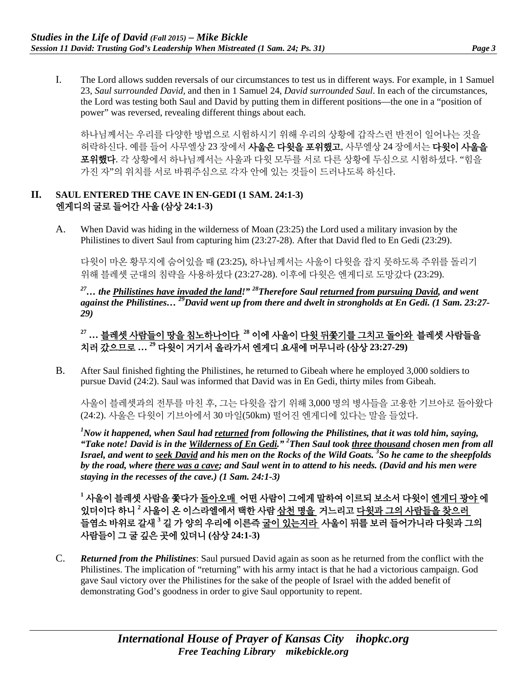I. The Lord allows sudden reversals of our circumstances to test us in different ways. For example, in 1 Samuel 23, *Saul surrounded David,* and then in 1 Samuel 24, *David surrounded Saul*. In each of the circumstances, the Lord was testing both Saul and David by putting them in different positions—the one in a "position of power" was reversed, revealing different things about each.

하나님께서는 우리를 다양한 방법으로 시험하시기 위해 우리의 상황에 갑작스런 반전이 일어나는 것을 허락하신다. 예를 들어 사무엘상 23 장에서 **사울은 다윗을 포위했고**, 사무엘상 24 장에서는 **다윗이 사울을** 포위했다. 각 상황에서 하나님께서는 사울과 다윗 모두를 서로 다른 상황에 두심으로 시험하셨다. "힘을 가진 자"의 위치를 서로 바꿔주심으로 각자 안에 있는 것들이 드러나도록 하신다.

#### **II. SAUL ENTERED THE CAVE IN EN-GEDI (1 SAM. 24:1-3)** 엔게디의 굴로 들어간 사울 **(**삼상 **24:1-3)**

A. When David was hiding in the wilderness of Moan (23:25) the Lord used a military invasion by the Philistines to divert Saul from capturing him (23:27-28). After that David fled to En Gedi (23:29).

다윗이 마온 황무지에 숨어있을 때 (23:25), 하나님께서는 사울이 다윗을 잡지 못하도록 주위를 돌리기 위해 블레셋 군대의 침략을 사용하셨다 (23:27-28). 이후에 다윗은 엔게디로 도망갔다 (23:29).

*27… the Philistines have invaded the land!" 28Therefore Saul returned from pursuing David, and went against the Philistines… 29David went up from there and dwelt in strongholds at En Gedi. (1 Sam. 23:27- 29)*

**<sup>27</sup> …** 블레셋 사람들이 땅을 침노하나이다 **<sup>28</sup>** 이에 사울이 다윗 뒤쫓기를 그치고 돌아와 블레셋 사람들을 치러 갔으므로 **… <sup>29</sup>** 다윗이 거기서 올라가서 엔게디 요새에 머무니라 **(**삼상 **23:27-29)**

B. After Saul finished fighting the Philistines, he returned to Gibeah where he employed 3,000 soldiers to pursue David (24:2). Saul was informed that David was in En Gedi, thirty miles from Gibeah.

사울이 블레셋과의 전투를 마친 후, 그는 다윗을 잡기 위해 3,000 명의 병사들을 고용한 기브아로 돌아왔다 (24:2). 사울은 다윗이 기브아에서 30 마일(50km) 떨어진 엔게디에 있다는 말을 들었다.

*1 Now it happened, when Saul had returned from following the Philistines, that it was told him, saying, "Take note! David is in the Wilderness of En Gedi." 2 Then Saul took three thousand chosen men from all Israel, and went to seek David and his men on the Rocks of the Wild Goats. 3 So he came to the sheepfolds by the road, where there was a cave; and Saul went in to attend to his needs. (David and his men were staying in the recesses of the cave.) (1 Sam. 24:1-3)*

**<sup>1</sup>** 사울이 블레셋 사람을 쫓다가 돌아오매 어떤 사람이 그에게 말하여 이르되 보소서 다윗이 엔게디 광야 에 있더이다 하니 **<sup>2</sup>** 사울이 온 이스라엘에서 택한 사람 삼천 명을 거느리고 다윗과 그의 사람들을 찾으러 들염소 바위로 갈새 **<sup>3</sup>** 길 가 양의 우리에 이른즉 굴이 있는지라 사울이 뒤를 보러 들어가니라 다윗과 그의 사람들이 그 굴 깊은 곳에 있더니 **(**삼상 **24:1-3)**

C. *Returned from the Philistines*: Saul pursued David again as soon as he returned from the conflict with the Philistines. The implication of "returning" with his army intact is that he had a victorious campaign. God gave Saul victory over the Philistines for the sake of the people of Israel with the added benefit of demonstrating God's goodness in order to give Saul opportunity to repent.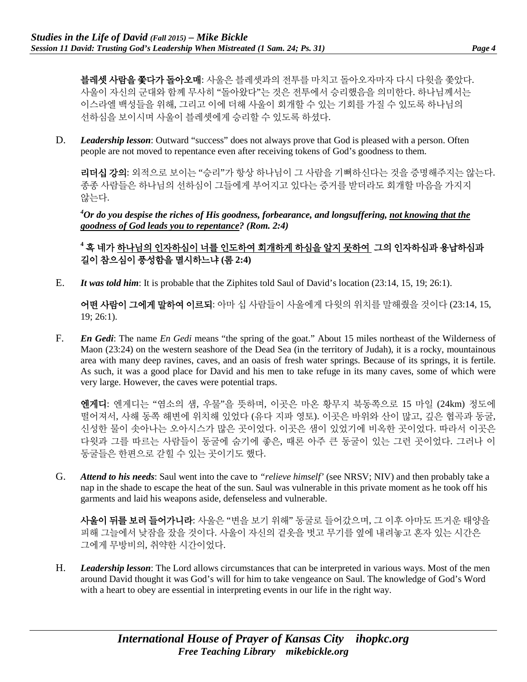**블레셋 사람을 쫓다가 돌아오매**: 사울은 블레셋과의 전투를 마치고 돌아오자마자 다시 다윗을 쫓았다. 사울이 자신의 군대와 함께 무사히 "돌아왔다"는 것은 전투에서 승리했음을 의미한다. 하나님께서는 이스라엘 백성들을 위해, 그리고 이에 더해 사울이 회개할 수 있는 기회를 가질 수 있도록 하나님의 선하심을 보이시며 사울이 블레셋에게 승리할 수 있도록 하셨다.

D. *Leadership lesson*: Outward "success" does not always prove that God is pleased with a person. Often people are not moved to repentance even after receiving tokens of God's goodness to them.

리더십 강의: 외적으로 보이는 "승리"가 항상 하나님이 그 사람을 기뻐하신다는 것을 증명해주지는 않는다. 종종 사람들은 하나님의 선하심이 그들에게 부어지고 있다는 증거를 받더라도 회개할 마음을 가지지 않는다.

*4 Or do you despise the riches of His goodness, forbearance, and longsuffering, not knowing that the goodness of God leads you to repentance? (Rom. 2:4)*

**<sup>4</sup>** 혹 네가 하나님의 인자하심이 너를 인도하여 회개하게 하심을 알지 못하여 그의 인자하심과 용납하심과 길이 참으심이 풍성함을 멸시하느냐 **(**롬 **2:4)**

E. *It was told him*: It is probable that the Ziphites told Saul of David's location (23:14, 15, 19; 26:1).

어떤 사람이 그에게 말하여 이르되: 아마 십 사람들이 사울에게 다윗의 위치를 말해줬을 것이다 (23:14, 15, 19; 26:1).

F. *En Gedi*: The name *En Gedi* means "the spring of the goat." About 15 miles northeast of the Wilderness of Maon (23:24) on the western seashore of the Dead Sea (in the territory of Judah), it is a rocky, mountainous area with many deep ravines, caves, and an oasis of fresh water springs. Because of its springs, it is fertile. As such, it was a good place for David and his men to take refuge in its many caves, some of which were very large. However, the caves were potential traps.

엔게디: 엔게디는 "염소의 샘, 우물"을 뜻하며, 이곳은 마온 황무지 북동쪽으로 15 마일 (24km) 정도에 떨어져서, 사해 동쪽 해변에 위치해 있었다 (유다 지파 영토). 이곳은 바위와 산이 많고, 깊은 협곡과 동굴, 신성한 물이 솟아나는 오아시스가 많은 곳이었다. 이곳은 샘이 있었기에 비옥한 곳이었다. 따라서 이곳은 다윗과 그를 따르는 사람들이 동굴에 숨기에 좋은, 때론 아주 큰 동굴이 있는 그런 곳이었다. 그러나 이 동굴들은 한편으로 갇힐 수 있는 곳이기도 했다.

G. *Attend to his needs*: Saul went into the cave to *"relieve himself'* (see NRSV; NIV) and then probably take a nap in the shade to escape the heat of the sun. Saul was vulnerable in this private moment as he took off his garments and laid his weapons aside, defenseless and vulnerable.

사울이 뒤를 보러 들어가니라: 사울은 "변을 보기 위해" 동굴로 들어갔으며, 그 이후 아마도 뜨거운 태양을 피해 그늘에서 낮잠을 잤을 것이다. 사울이 자신의 겉옷을 벗고 무기를 옆에 내려놓고 혼자 있는 시간은 그에게 무방비의, 취약한 시간이었다.

H. *Leadership lesson*: The Lord allows circumstances that can be interpreted in various ways. Most of the men around David thought it was God's will for him to take vengeance on Saul. The knowledge of God's Word with a heart to obey are essential in interpreting events in our life in the right way.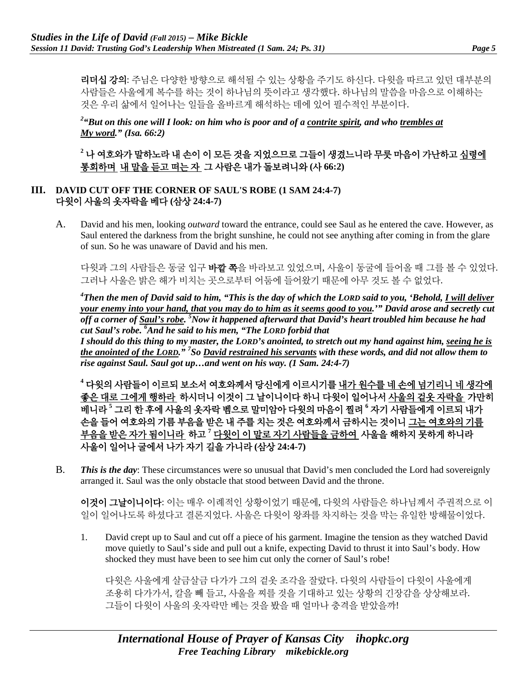리더십 강의: 주님은 다양한 방향으로 해석될 수 있는 상황을 주기도 하신다. 다윗을 따르고 있던 대부분의 사람들은 사울에게 복수를 하는 것이 하나님의 뜻이라고 생각했다. 하나님의 말씀을 마음으로 이해하는 것은 우리 삶에서 일어나는 일들을 올바르게 해석하는 데에 있어 필수적인 부분이다.

*2 "But on this one will I look: on him who is poor and of a contrite spirit, and who trembles at My word." (Isa. 66:2)*

**<sup>2</sup>** 나 여호와가 말하노라 내 손이 이 모든 것을 지었으므로 그들이 생겼느니라 무릇 마음이 가난하고 심령에 통회하며 내 말을 듣고 떠는 자 그 사람은 내가 돌보려니와 **(**사 **66:2)**

#### **III. DAVID CUT OFF THE CORNER OF SAUL'S ROBE (1 SAM 24:4-7)** 다윗이 사울의 옷자락을 베다 **(**삼상 **24:4-7)**

A. David and his men, looking *outward* toward the entrance, could see Saul as he entered the cave. However, as Saul entered the darkness from the bright sunshine, he could not see anything after coming in from the glare of sun. So he was unaware of David and his men.

다윗과 그의 사람들은 동굴 입구 바깥 쪽을 바라보고 있었으며, 사울이 동굴에 들어올 때 그를 볼 수 있었다. 그러나 사울은 밝은 해가 비치는 곳으로부터 어둠에 들어왔기 때문에 아무 것도 볼 수 없었다.

*4 Then the men of David said to him, "This is the day of which the LORD said to you, 'Behold, I will deliver your enemy into your hand, that you may do to him as it seems good to you.'" David arose and secretly cut*  off a corner of <u>Saul's robe.</u> <sup>5</sup>Now it happened afterward that David's heart troubled him because he had *cut Saul's robe. 6 And he said to his men, "The LORD forbid that I should do this thing to my master, the LORD's anointed, to stretch out my hand against him, seeing he is* 

*the anointed of the LORD." 7 So David restrained his servants with these words, and did not allow them to rise against Saul. Saul got up…and went on his way. (1 Sam. 24:4-7)*

**<sup>4</sup>** 다윗의 사람들이 이르되 보소서 여호와께서 당신에게 이르시기를 내가 원수를 네 손에 넘기리니 네 생각에 좋은 대로 그에게 행하라 하시더니 이것이 그 날이니이다 하니 다윗이 일어나서 사울의 겉옷 자락을 가만히 베니라 **<sup>5</sup>** 그리 한 후에 사울의 옷자락 벰으로 말미암아 다윗의 마음이 찔려 **<sup>6</sup>** 자기 사람들에게 이르되 내가 손을 들어 여호와의 기름 부음을 받은 내 주를 치는 것은 여호와께서 금하시는 것이니 그는 여호와의 기름 부음을 받은 자가 됨이니라 하고 **<sup>7</sup>** 다윗이 이 말로 자기 사람들을 금하여 사울을 해하지 못하게 하니라 사울이 일어나 굴에서 나가 자기 길을 가니라 **(**삼상 **24:4-7)**

B. *This is the day*: These circumstances were so unusual that David's men concluded the Lord had sovereignly arranged it. Saul was the only obstacle that stood between David and the throne.

이것이 그날이니이다: 이는 매우 이례적인 상황이었기 때문에, 다윗의 사람들은 하나님께서 주권적으로 이 일이 일어나도록 하셨다고 결론지었다. 사울은 다윗이 왕좌를 차지하는 것을 막는 유일한 방해물이었다.

1. David crept up to Saul and cut off a piece of his garment. Imagine the tension as they watched David move quietly to Saul's side and pull out a knife, expecting David to thrust it into Saul's body. How shocked they must have been to see him cut only the corner of Saul's robe!

다윗은 사울에게 살금살금 다가가 그의 겉옷 조각을 잘랐다. 다윗의 사람들이 다윗이 사울에게 조용히 다가가서, 칼을 빼 들고, 사울을 찌를 것을 기대하고 있는 상황의 긴장감을 상상해보라. 그들이 다윗이 사울의 옷자락만 베는 것을 봤을 때 얼마나 충격을 받았을까!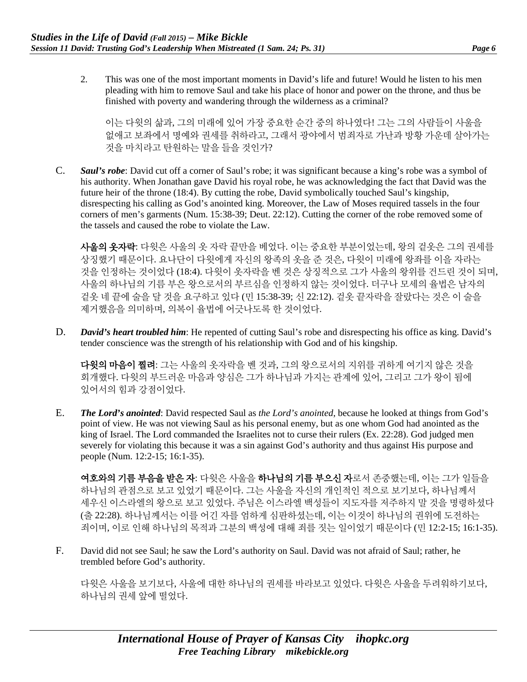2. This was one of the most important moments in David's life and future! Would he listen to his men pleading with him to remove Saul and take his place of honor and power on the throne, and thus be finished with poverty and wandering through the wilderness as a criminal?

이는 다윗의 삶과, 그의 미래에 있어 가장 중요한 순간 중의 하나였다! 그는 그의 사람들이 사울을 없애고 보좌에서 명예와 권세를 취하라고, 그래서 광야에서 범죄자로 가난과 방황 가운데 살아가는 것을 마치라고 탄원하는 말을 들을 것인가?

C. *Saul's robe*: David cut off a corner of Saul's robe; it was significant because a king's robe was a symbol of his authority. When Jonathan gave David his royal robe, he was acknowledging the fact that David was the future heir of the throne (18:4). By cutting the robe, David symbolically touched Saul's kingship, disrespecting his calling as God's anointed king. Moreover, the Law of Moses required tassels in the four corners of men's garments (Num. 15:38-39; Deut. 22:12). Cutting the corner of the robe removed some of the tassels and caused the robe to violate the Law.

사울의 옷자락: 다윗은 사울의 옷 자락 끝만을 베었다. 이는 중요한 부분이었는데, 왕의 겉옷은 그의 권세를 상징했기 때문이다. 요나단이 다윗에게 자신의 왕족의 옷을 준 것은, 다윗이 미래에 왕좌를 이을 자라는 것을 인정하는 것이었다 (18:4). 다윗이 옷자락을 벤 것은 상징적으로 그가 사울의 왕위를 건드린 것이 되며, 사울의 하나님의 기름 부은 왕으로서의 부르심을 인정하지 않는 것이었다. 더구나 모세의 율법은 남자의 겉옷 네 끝에 술을 달 것을 요구하고 있다 (민 15:38-39; 신 22:12). 겉옷 끝자락을 잘랐다는 것은 이 술을 제거했음을 의미하며, 의복이 율법에 어긋나도록 한 것이었다.

D. *David's heart troubled him*: He repented of cutting Saul's robe and disrespecting his office as king. David's tender conscience was the strength of his relationship with God and of his kingship.

다윗의 마음이 찔려: 그는 사울의 옷자락을 벤 것과, 그의 왕으로서의 지위를 귀하게 여기지 않은 것을 회개했다. 다윗의 부드러운 마음과 양심은 그가 하나님과 가지는 관계에 있어, 그리고 그가 왕이 됨에 있어서의 힘과 강점이었다.

E. *The Lord's anointed*: David respected Saul as *the Lord's anointed*, because he looked at things from God's point of view. He was not viewing Saul as his personal enemy, but as one whom God had anointed as the king of Israel. The Lord commanded the Israelites not to curse their rulers (Ex. 22:28). God judged men severely for violating this because it was a sin against God's authority and thus against His purpose and people (Num. 12:2-15; 16:1-35).

여호와의 기름 부음을 받은 자: 다윗은 사울을 하나님의 기름 부으신 자로서 존중했는데, 이는 그가 일들을 하나님의 관점으로 보고 있었기 때문이다. 그는 사울을 자신의 개인적인 적으로 보기보다, 하나님께서 세우신 이스라엘의 왕으로 보고 있었다. 주님은 이스라엘 백성들이 지도자를 저주하지 말 것을 명령하셨다 (출 22:28). 하나님께서는 이를 어긴 자를 엄하게 심판하셨는데, 이는 이것이 하나님의 권위에 도전하는 죄이며, 이로 인해 하나님의 목적과 그분의 백성에 대해 죄를 짓는 일이었기 때문이다 (민 12:2-15; 16:1-35).

F. David did not see Saul; he saw the Lord's authority on Saul. David was not afraid of Saul; rather, he trembled before God's authority.

다윗은 사울을 보기보다, 사울에 대한 하나님의 권세를 바라보고 있었다. 다윗은 사울을 두려워하기보다, 하나님의 권세 앞에 떨었다.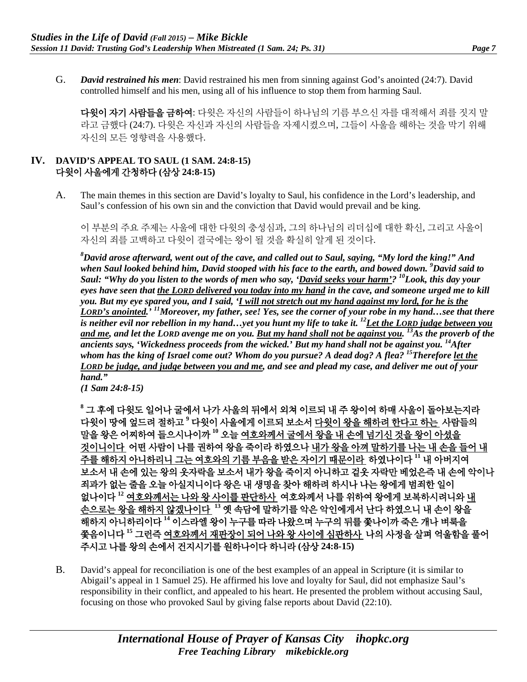G. *David restrained his men*: David restrained his men from sinning against God's anointed (24:7). David controlled himself and his men, using all of his influence to stop them from harming Saul.

다윗이 자기 사람들을 금하여: 다윗은 자신의 사람들이 하나님의 기름 부으신 자를 대적해서 죄를 짓지 말 라고 금했다 (24:7). 다윗은 자신과 자신의 사람들을 자제시켰으며, 그들이 사울을 해하는 것을 막기 위해 자신의 모든 영향력을 사용했다.

#### **IV. DAVID'S APPEAL TO SAUL (1 SAM. 24:8-15)** 다윗이 사울에게 간청하다 **(**삼상 **24:8-15)**

A. The main themes in this section are David's loyalty to Saul, his confidence in the Lord's leadership, and Saul's confession of his own sin and the conviction that David would prevail and be king.

이 부분의 주요 주제는 사울에 대한 다윗의 충성심과, 그의 하나님의 리더십에 대한 확신, 그리고 사울이 자신의 죄를 고백하고 다윗이 결국에는 왕이 될 것을 확실히 알게 된 것이다.

*8 David arose afterward, went out of the cave, and called out to Saul, saying, "My lord the king!" And when Saul looked behind him, David stooped with his face to the earth, and bowed down. 9 David said to Saul: "Why do you listen to the words of men who say, 'David seeks your harm'? 10Look, this day your eyes have seen that the LORD delivered you today into my hand in the cave, and someone urged me to kill you. But my eye spared you, and I said, 'I will not stretch out my hand against my lord, for he is the LORD's anointed.' 11Moreover, my father, see! Yes, see the corner of your robe in my hand…see that there is neither evil nor rebellion in my hand…yet you hunt my life to take it. 12Let the LORD judge between you and me, and let the LORD avenge me on you. But my hand shall not be against you. 13As the proverb of the ancients says, 'Wickedness proceeds from the wicked.' But my hand shall not be against you. 14After whom has the king of Israel come out? Whom do you pursue? A dead dog? A flea? 15Therefore let the LORD be judge, and judge between you and me, and see and plead my case, and deliver me out of your hand."* 

*(1 Sam 24:8-15)*

**<sup>8</sup>** 그 후에 다윗도 일어나 굴에서 나가 사울의 뒤에서 외쳐 이르되 내 주 왕이여 하매 사울이 돌아보는지라 다윗이 땅에 엎드려 절하고 **<sup>9</sup>** 다윗이 사울에게 이르되 보소서 다윗이 왕을 해하려 한다고 하는 사람들의 말을 왕은 어찌하여 들으시나이까 **<sup>10</sup>** 오늘 여호와께서 굴에서 왕을 내 손에 넘기신 것을 왕이 아셨을 것이니이다 어떤 사람이 나를 권하여 왕을 죽이라 하였으나 내가 왕을 아껴 말하기를 나는 내 손을 들어 내 주를 해하지 아니하리니 그는 여호와의 기름 부음을 받은 자이기 때문이라 하였나이다 **<sup>11</sup>** 내 아버지여 보소서 내 손에 있는 왕의 옷자락을 보소서 내가 왕을 죽이지 아니하고 겉옷 자락만 베었은즉 내 손에 악이나 죄과가 없는 줄을 오늘 아실지니이다 왕은 내 생명을 찾아 해하려 하시나 나는 왕에게 범죄한 일이 없나이다 **<sup>12</sup>** 여호와께서는 나와 왕 사이를 판단하사 여호와께서 나를 위하여 왕에게 보복하시려니와 내 손으로는 왕을 해하지 않겠나이다 **<sup>13</sup>** 옛 속담에 말하기를 악은 악인에게서 난다 하였으니 내 손이 왕을 해하지 아니하리이다 **<sup>14</sup>** 이스라엘 왕이 누구를 따라 나왔으며 누구의 뒤를 쫓나이까 죽은 개나 벼룩을 쫓음이니다 **<sup>15</sup>** 그런즉 여호와께서 재판장이 되어 나와 왕 사이에 심판하사 나의 사정을 살펴 억울함을 풀어 주시고 나를 왕의 손에서 건지시기를 원하나이다 하니라 **(**삼상 **24:8-15)**

B. David's appeal for reconciliation is one of the best examples of an appeal in Scripture (it is similar to Abigail's appeal in 1 Samuel 25). He affirmed his love and loyalty for Saul, did not emphasize Saul's responsibility in their conflict, and appealed to his heart. He presented the problem without accusing Saul, focusing on those who provoked Saul by giving false reports about David (22:10).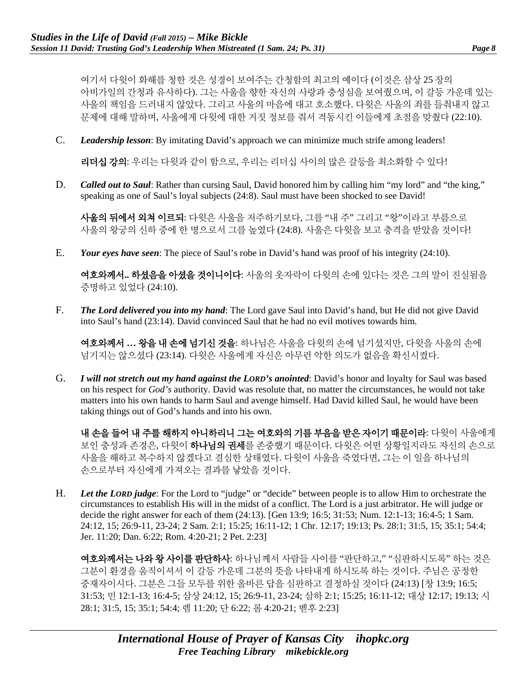여기서 다윗이 화해를 청한 것은 성경이 보여주는 간청함의 최고의 예이다 (이것은 삼상 25 장의 아비가일의 간청과 유사하다). 그는 사울을 향한 자신의 사랑과 충성심을 보여줬으며, 이 갈등 가운데 있는 사울의 책임을 드러내지 않았다. 그리고 사울의 마음에 대고 호소했다. 다윗은 사울의 죄를 들춰내지 않고 문제에 대해 말하며, 사울에게 다윗에 대한 거짓 정보를 줘서 격동시킨 이들에게 초점을 맞췄다 (22:10).

C. *Leadership lesson*: By imitating David's approach we can minimize much strife among leaders!

리더십 강의: 우리는 다윗과 같이 함으로, 우리는 리더십 사이의 많은 갈등을 최소화할 수 있다!

D. *Called out to Saul*: Rather than cursing Saul, David honored him by calling him "my lord" and "the king," speaking as one of Saul's loyal subjects (24:8). Saul must have been shocked to see David!

사울의 뒤에서 외쳐 이르되: 다윗은 사울을 저주하기보다, 그를 "내 주" 그리고 "왕"이라고 부름으로 사울의 왕궁의 신하 중에 한 명으로서 그를 높였다 (24:8). 사울은 다윗을 보고 충격을 받았을 것이다!

E. *Your eyes have seen*: The piece of Saul's robe in David's hand was proof of his integrity (24:10).

여호와께서**..** 하셨음을 아셨을 것이니이다: 사울의 옷자락이 다윗의 손에 있다는 것은 그의 말이 진실됨을 증명하고 있었다 (24:10).

F. *The Lord delivered you into my hand*: The Lord gave Saul into David's hand, but He did not give David into Saul's hand (23:14). David convinced Saul that he had no evil motives towards him.

여호와께서 **…** 왕을 내 손에 넘기신 것을: 하나님은 사울을 다윗의 손에 넘기셨지만, 다윗을 사울의 손에 넘기지는 않으셨다 (23:14). 다윗은 사울에게 자신은 아무런 악한 의도가 없음을 확신시켰다.

G. *I will not stretch out my hand against the LORD's anointed*: David's honor and loyalty for Saul was based on his respect for *God's* authority. David was resolute that, no matter the circumstances, he would not take matters into his own hands to harm Saul and avenge himself. Had David killed Saul, he would have been taking things out of God's hands and into his own.

내 손을 들어 내 주를 해하지 아니하리니 그는 여호와의 기름 부음을 받은 자이기 때문이라: 다윗이 사울에게 보인 충성과 존경은, 다윗이 하나님의 권세를 존중했기 때문이다. 다윗은 어떤 상황일지라도 자신의 손으로 사울을 해하고 복수하지 않겠다고 결심한 상태였다. 다윗이 사울을 죽였다면, 그는 이 일을 하나님의 손으로부터 자신에게 가져오는 결과를 낳았을 것이다.

H. *Let the LORD judge*: For the Lord to "judge" or "decide" between people is to allow Him to orchestrate the circumstances to establish His will in the midst of a conflict. The Lord is a just arbitrator. He will judge or decide the right answer for each of them (24:13). [Gen 13:9; 16:5; 31:53; Num. 12:1-13; 16:4-5; 1 Sam. 24:12, 15; 26:9-11, 23-24; 2 Sam. 2:1; 15:25; 16:11-12; 1 Chr. 12:17; 19:13; Ps. 28:1; 31:5, 15; 35:1; 54:4; Jer. 11:20; Dan. 6:22; Rom. 4:20-21; 2 Pet. 2:23]

여호와께서는 나와 왕 사이를 판단하사: 하나님께서 사람들 사이를 "판단하고," "심판하시도록" 하는 것은 그분이 환경을 움직이셔서 이 갈등 가운데 그분의 뜻을 나타내게 하시도록 하는 것이다. 주님은 공정한 중재자이시다. 그분은 그들 모두를 위한 올바른 답을 심판하고 결정하실 것이다 (24:13) [창 13:9; 16:5; 31:53; 민 12:1-13; 16:4-5; 삼상 24:12, 15; 26:9-11, 23-24; 삼하 2:1; 15:25; 16:11-12; 대상 12:17; 19:13; 시 28:1; 31:5, 15; 35:1; 54:4; 렘 11:20; 단 6:22; 롬 4:20-21; 벧후 2:23]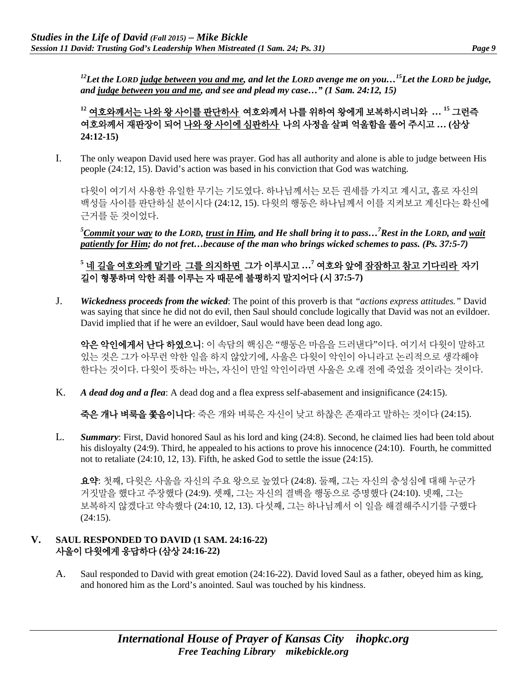*12Let the LORD judge between you and me, and let the LORD avenge me on you…15Let the LORD be judge, and judge between you and me, and see and plead my case…" (1 Sam. 24:12, 15)* 

**<sup>12</sup>** 여호와께서는 나와 왕 사이를 판단하사 여호와께서 나를 위하여 왕에게 보복하시려니와 **… 15** 그런즉 여호와께서 재판장이 되어 나와 왕 사이에 심판하사 나의 사정을 살펴 억울함을 풀어 주시고 **… (**삼상 **24:12-15)**

I. The only weapon David used here was prayer. God has all authority and alone is able to judge between His people (24:12, 15). David's action was based in his conviction that God was watching.

다윗이 여기서 사용한 유일한 무기는 기도였다. 하나님께서는 모든 권세를 가지고 계시고, 홀로 자신의 백성들 사이를 판단하실 분이시다 (24:12, 15). 다윗의 행동은 하나님께서 이를 지켜보고 계신다는 확신에 근거를 둔 것이었다.

*5 Commit your way to the LORD, trust in Him, and He shall bring it to pass…7 Rest in the LORD, and wait patiently for Him; do not fret…because of the man who brings wicked schemes to pass. (Ps. 37:5-7)*

## **<sup>5</sup>** 네 길을 여호와께 맡기라 그를 의지하면 그가 이루시고 **…7** 여호와 앞에 잠잠하고 참고 기다리라 자기 길이 형통하며 악한 죄를 이루는 자 때문에 불평하지 말지어다 **(**시 **37:5-7)**

J. *Wickedness proceeds from the wicked*: The point of this proverb is that *"actions express attitudes."* David was saying that since he did not do evil, then Saul should conclude logically that David was not an evildoer. David implied that if he were an evildoer, Saul would have been dead long ago.

악은 악인에게서 난다 하였으니: 이 속담의 핵심은 "행동은 마음을 드러낸다"이다. 여기서 다윗이 말하고 있는 것은 그가 아무런 악한 일을 하지 않았기에, 사울은 다윗이 악인이 아니라고 논리적으로 생각해야 한다는 것이다. 다윗이 뜻하는 바는, 자신이 만일 악인이라면 사울은 오래 전에 죽었을 것이라는 것이다.

K. *A dead dog and a flea*: A dead dog and a flea express self-abasement and insignificance (24:15).

죽은 개나 벼룩을 쫓음이니다: 죽은 개와 벼룩은 자신이 낮고 하찮은 존재라고 말하는 것이다 (24:15).

L. *Summary*: First, David honored Saul as his lord and king (24:8). Second, he claimed lies had been told about his disloyalty (24:9). Third, he appealed to his actions to prove his innocence (24:10). Fourth, he committed not to retaliate (24:10, 12, 13). Fifth, he asked God to settle the issue (24:15).

요약: 첫째, 다윗은 사울을 자신의 주요 왕으로 높였다 (24:8). 둘째, 그는 자신의 충성심에 대해 누군가 거짓말을 했다고 주장했다 (24:9). 셋째, 그는 자신의 결백을 행동으로 증명했다 (24:10). 넷째, 그는 보복하지 않겠다고 약속했다 (24:10, 12, 13). 다섯째, 그는 하나님께서 이 일을 해결해주시기를 구했다  $(24:15)$ .

#### **V. SAUL RESPONDED TO DAVID (1 SAM. 24:16-22)** 사울이 다윗에게 응답하다 **(**삼상 **24:16-22)**

A. Saul responded to David with great emotion (24:16-22). David loved Saul as a father, obeyed him as king, and honored him as the Lord's anointed. Saul was touched by his kindness.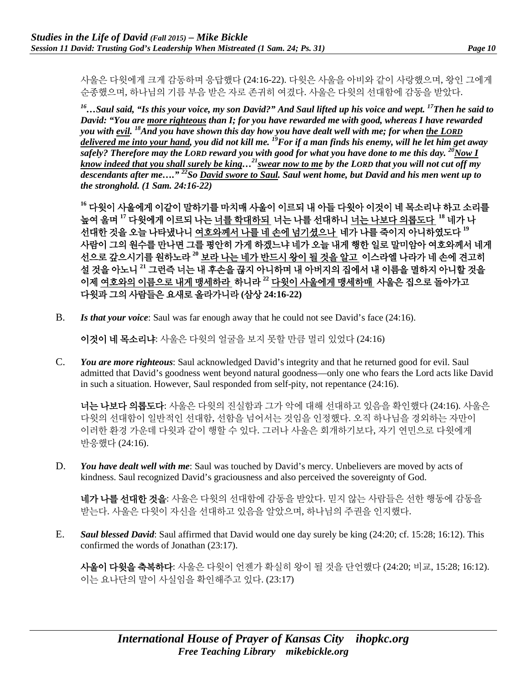사울은 다윗에게 크게 감동하며 응답했다 (24:16-22). 다윗은 사울을 아비와 같이 사랑했으며, 왕인 그에게 순종했으며, 하나님의 기름 부음 받은 자로 존귀히 여겼다. 사울은 다윗의 선대함에 감동을 받았다.

*16…Saul said, "Is this your voice, my son David?" And Saul lifted up his voice and wept. 17Then he said to David: "You are more righteous than I; for you have rewarded me with good, whereas I have rewarded you with evil. 18And you have shown this day how you have dealt well with me; for when the LORD delivered me into your hand, you did not kill me. 19For if a man finds his enemy, will he let him get away safely? Therefore may the LORD reward you with good for what you have done to me this day.* <sup>20</sup>Now I *know indeed that you shall surely be king…21swear now to me by the LORD that you will not cut off my descendants after me…." 22So David swore to Saul. Saul went home, but David and his men went up to the stronghold. (1 Sam. 24:16-22)*

**<sup>16</sup>** 다윗이 사울에게 이같이 말하기를 마치매 사울이 이르되 내 아들 다윗아 이것이 네 목소리냐 하고 소리를 높여 울며 **<sup>17</sup>** 다윗에게 이르되 나는 너를 학대하되 너는 나를 선대하니 너는 나보다 의롭도다 **<sup>18</sup>** 네가 나 선대한 것을 오늘 나타냈나니 여호와께서 나를 네 손에 넘기셨으나 네가 나를 죽이지 아니하였도다 **<sup>19</sup>** 사람이 그의 원수를 만나면 그를 평안히 가게 하겠느냐 네가 오늘 내게 행한 일로 말미암아 여호와께서 네게 선으로 갚으시기를 원하노라 **<sup>20</sup>** 보라 나는 네가 반드시 왕이 될 것을 알고 이스라엘 나라가 네 손에 견고히 설 것을 아노니 **<sup>21</sup>** 그런즉 너는 내 후손을 끊지 아니하며 내 아버지의 집에서 내 이름을 멸하지 아니할 것을 이제 여호와의 이름으로 내게 맹세하라 하니라 **<sup>22</sup>** 다윗이 사울에게 맹세하매 사울은 집으로 돌아가고 다윗과 그의 사람들은 요새로 올라가니라 **(**삼상 **24:16-22)**

B. *Is that your voice*: Saul was far enough away that he could not see David's face (24:16).

이것이 네 목소리냐: 사울은 다윗의 얼굴을 보지 못할 만큼 멀리 있었다 (24:16)

C. *You are more righteous*: Saul acknowledged David's integrity and that he returned good for evil. Saul admitted that David's goodness went beyond natural goodness—only one who fears the Lord acts like David in such a situation. However, Saul responded from self-pity, not repentance (24:16).

너는 나보다 의롭도다: 사울은 다윗의 진실함과 그가 악에 대해 선대하고 있음을 확인했다 (24:16). 사울은 다윗의 선대함이 일반적인 선대함, 선함을 넘어서는 것임을 인정했다. 오직 하나님을 경외하는 자만이 이러한 환경 가운데 다윗과 같이 행할 수 있다. 그러나 사울은 회개하기보다, 자기 연민으로 다윗에게 반응했다 (24:16).

D. *You have dealt well with me*: Saul was touched by David's mercy. Unbelievers are moved by acts of kindness. Saul recognized David's graciousness and also perceived the sovereignty of God.

**네가 나를 선대한 것을**: 사울은 다윗의 선대함에 감동을 받았다. 믿지 않는 사람들은 선한 행동에 감동을 받는다. 사울은 다윗이 자신을 선대하고 있음을 알았으며, 하나님의 주권을 인지했다.

E. *Saul blessed David*: Saul affirmed that David would one day surely be king (24:20; cf. 15:28; 16:12). This confirmed the words of Jonathan (23:17).

사울이 다윗을 축복하다: 사울은 다윗이 언젠가 확실히 왕이 될 것을 단언했다 (24:20; 비교, 15:28; 16:12). 이는 요나단의 말이 사실임을 확인해주고 있다. (23:17)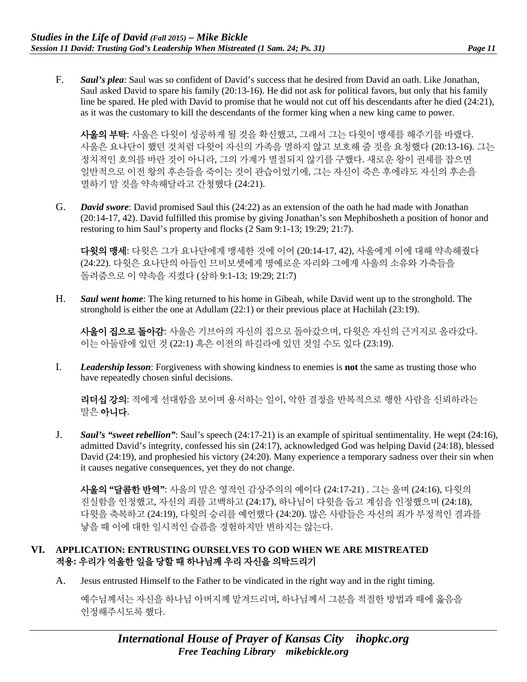F. *Saul's plea*: Saul was so confident of David's success that he desired from David an oath. Like Jonathan, Saul asked David to spare his family (20:13-16). He did not ask for political favors, but only that his family line be spared. He pled with David to promise that he would not cut off his descendants after he died (24:21), as it was the customary to kill the descendants of the former king when a new king came to power.

사울의 부탁: 사울은 다윗이 성공하게 될 것을 확신했고, 그래서 그는 다윗이 맹세를 해주기를 바랬다. 사울은 요나단이 했던 것처럼 다윗이 자신의 가족을 멸하지 않고 보호해 줄 것을 요청했다 (20:13-16). 그는 정치적인 호의를 바란 것이 아니라, 그의 가계가 멸절되지 않기를 구했다. 새로운 왕이 권세를 잡으면 일반적으로 이전 왕의 후손들을 죽이는 것이 관습이었기에, 그는 자신이 죽은 후에라도 자신의 후손을 멸하기 말 것을 약속해달라고 간청했다 (24:21).

G. *David swore*: David promised Saul this (24:22) as an extension of the oath he had made with Jonathan (20:14-17, 42). David fulfilled this promise by giving Jonathan's son Mephibosheth a position of honor and restoring to him Saul's property and flocks (2 Sam 9:1-13; 19:29; 21:7).

다윗의 맹세: 다윗은 그가 요나단에게 맹세한 것에 이어 (20:14-17, 42), 사울에게 이에 대해 약속해줬다 (24:22). 다윗은 요나단의 아들인 므비보셋에게 명예로운 자리와 그에게 사울의 소유와 가축들을 돌려줌으로 이 약속을 지켰다 (삼하 9:1-13; 19:29; 21:7)

H. *Saul went home*: The king returned to his home in Gibeah, while David went up to the stronghold. The stronghold is either the one at Adullam (22:1) or their previous place at Hachilah (23:19).

사울이 집으로 돌아감: 사울은 기브아의 자신의 집으로 돌아갔으며, 다윗은 자신의 근거지로 올라갔다. 이는 아둘람에 있던 것 (22:1) 혹은 이전의 하길라에 있던 것일 수도 있다 (23:19).

I. *Leadership lesson*: Forgiveness with showing kindness to enemies is **not** the same as trusting those who have repeatedly chosen sinful decisions.

리더십 강의: 적에게 선대함을 보이며 용서하는 일이, 악한 결정을 반복적으로 행한 사람을 신뢰하라는 말은 아니다.

J. *Saul's "sweet rebellion"*: Saul's speech (24:17-21) is an example of spiritual sentimentality. He wept (24:16), admitted David's integrity, confessed his sin (24:17), acknowledged God was helping David (24:18), blessed David (24:19), and prophesied his victory (24:20). Many experience a temporary sadness over their sin when it causes negative consequences, yet they do not change.

사울의 **"**달콤한 반역**"**: 사울의 말은 영적인 감상주의의 예이다 (24:17-21) . 그는 울며 (24:16), 다윗의 진실함을 인정했고, 자신의 죄를 고백하고 (24:17), 하나님이 다윗을 돕고 계심을 인정했으며 (24:18), 다윗을 축복하고 (24:19), 다윗의 승리를 예언했다 (24:20). 많은 사람들은 자신의 죄가 부정적인 결과를 낳을 때 이에 대한 일시적인 슬픔을 경험하지만 변하지는 않는다.

#### **VI. APPLICATION: ENTRUSTING OURSELVES TO GOD WHEN WE ARE MISTREATED** 적용**:** 우리가 억울한 일을 당할 때 하나님께 우리 자신을 의탁드리기

A. Jesus entrusted Himself to the Father to be vindicated in the right way and in the right timing.

예수님께서는 자신을 하나님 아버지께 맡겨드리며, 하나님께서 그분을 적절한 방법과 때에 옳음을 인정해주시도록 했다.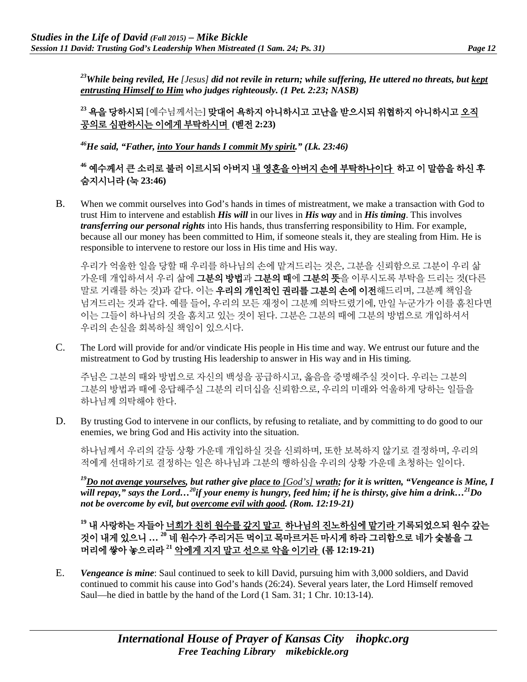*23While being reviled, He [Jesus] did not revile in return; while suffering, He uttered no threats, but kept entrusting Himself to Him who judges righteously. (1 Pet. 2:23; NASB)* 

**<sup>23</sup>** 욕을 당하시되 [예수님께서는] 맞대어 욕하지 아니하시고 고난을 받으시되 위협하지 아니하시고 오직 공의로 심판하시는 이에게 부탁하시며 **(**벧전 **2:23)**

*46He said, "Father, into Your hands I commit My spirit." (Lk. 23:46)* 

## **<sup>46</sup>** 예수께서 큰 소리로 불러 이르시되 아버지 내 영혼을 아버지 손에 부탁하나이다 하고 이 말씀을 하신 후 숨지시니라 **(**눅 **23:46)**

B. When we commit ourselves into God's hands in times of mistreatment, we make a transaction with God to trust Him to intervene and establish *His will* in our lives in *His way* and in *His timing*. This involves *transferring our personal rights* into His hands, thus transferring responsibility to Him. For example, because all our money has been committed to Him, if someone steals it, they are stealing from Him. He is responsible to intervene to restore our loss in His time and His way.

우리가 억울한 일을 당할 때 우리를 하나님의 손에 맡겨드리는 것은, 그분을 신뢰함으로 그분이 우리 삶 가운데 개입하셔서 우리 삶에 **그분의 방법과 그분의 때**에 **그분의 뜻**을 이루시도록 부탁을 드리는 것(다른 말로 거래를 하는 것)과 같다. 이는 **우리의 개인적인 권리를 그분의 손에 이전**해드리며, 그분께 책임을 넘겨드리는 것과 같다. 예를 들어, 우리의 모든 재정이 그분께 의탁드렸기에, 만일 누군가가 이를 훔친다면 이는 그들이 하나님의 것을 훔치고 있는 것이 된다. 그분은 그분의 때에 그분의 방법으로 개입하셔서 우리의 손실을 회복하실 책임이 있으시다.

C. The Lord will provide for and/or vindicate His people in His time and way. We entrust our future and the mistreatment to God by trusting His leadership to answer in His way and in His timing.

주님은 그분의 때와 방법으로 자신의 백성을 공급하시고, 옳음을 증명해주실 것이다. 우리는 그분의 그분의 방법과 때에 응답해주실 그분의 리더십을 신뢰함으로, 우리의 미래와 억울하게 당하는 일들을 하나님께 의탁해야 한다.

D. By trusting God to intervene in our conflicts, by refusing to retaliate, and by committing to do good to our enemies, we bring God and His activity into the situation.

하나님께서 우리의 갈등 상황 가운데 개입하실 것을 신뢰하며, 또한 보복하지 않기로 결정하며, 우리의 적에게 선대하기로 결정하는 일은 하나님과 그분의 행하심을 우리의 상황 가운데 초청하는 일이다.

<sup>19</sup>Do not avenge yourselves, but rather give place to *[God's]* wrath; for it is written, "Vengeance is Mine, I *will repay," says the Lord…20if your enemy is hungry, feed him; if he is thirsty, give him a drink…21Do*  not be overcome by evil, but overcome evil with good. (Rom. 12:19-21)

**<sup>19</sup>** 내 사랑하는 자들아 너희가 친히 원수를 갚지 말고 하나님의 진노하심에 맡기라 기록되었으되 원수 갚는 것이 내게 있으니 **… <sup>20</sup>** 네 원수가 주리거든 먹이고 목마르거든 마시게 하라 그리함으로 네가 숯불을 그 머리에 쌓아 놓으리라 **<sup>21</sup>** 악에게 지지 말고 선으로 악을 이기라 **(**롬 **12:19-21)**

E. *Vengeance is mine*: Saul continued to seek to kill David, pursuing him with 3,000 soldiers, and David continued to commit his cause into God's hands (26:24). Several years later, the Lord Himself removed Saul—he died in battle by the hand of the Lord (1 Sam. 31; 1 Chr. 10:13-14).